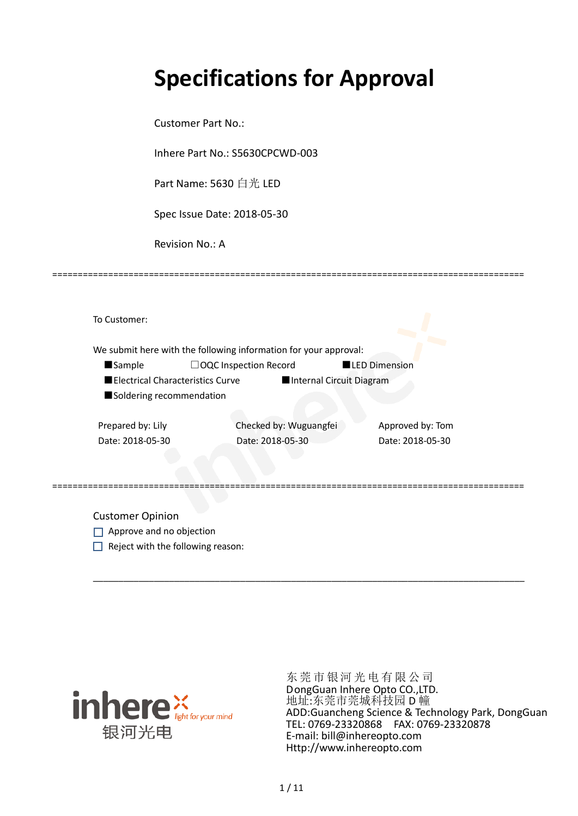# **Specifications for Approval**

=============================================================================================

Customer Part No.:

Inhere Part No.: S5630CPCWD-003

Part Name: 5630 白光 LED

Spec Issue Date: 2018-05-30

Revision No.: A

|                          |                                  | We submit here with the following information for your approval: |                      |                  |
|--------------------------|----------------------------------|------------------------------------------------------------------|----------------------|------------------|
| <b>Sample</b>            | $\Box$ OQC Inspection Record     |                                                                  | <b>LED Dimension</b> |                  |
|                          | Electrical Characteristics Curve | Internal Circuit Diagram                                         |                      |                  |
| Soldering recommendation |                                  |                                                                  |                      |                  |
|                          |                                  |                                                                  |                      |                  |
| Prepared by: Lily        |                                  | Checked by: Wuguangfei                                           |                      | Approved by: Tom |

Customer Opinion

- Approve and no objection
- $\Box$  Reject with the following reason:



东莞市银河光电有限公司 DongGuan Inhere Opto CO.,LTD. 地址:东莞市莞城科技园 D 幢 ADD:Guancheng Science & Technology Park, DongGuan TEL: 0769-23320868 FAX: 0769-23320878 E-mail: bill@inhereopto.com [Http://www.inhereopto.com](http://www.inhereopto.com/)

\_\_\_\_\_\_\_\_\_\_\_\_\_\_\_\_\_\_\_\_\_\_\_\_\_\_\_\_\_\_\_\_\_\_\_\_\_\_\_\_\_\_\_\_\_\_\_\_\_\_\_\_\_\_\_\_\_\_\_\_\_\_\_\_\_\_\_\_\_\_\_\_\_\_\_\_\_\_\_\_\_\_\_\_\_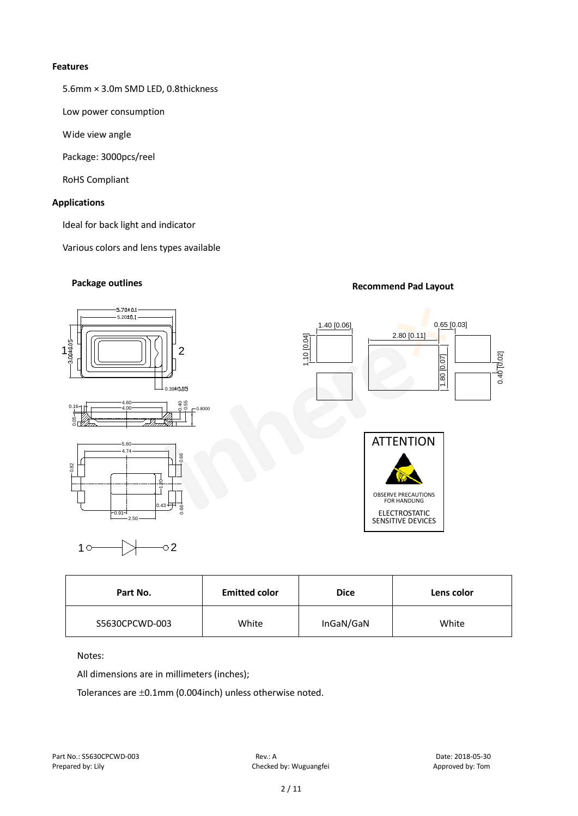#### **Features**

5.6mm × 3.0m SMD LED, 0.8thickness

Low power consumption

Wide view angle

Package: 3000pcs/reel

RoHS Compliant

#### **Applications**

Ideal for back light and indicator

Various colors and lens types available

# **Package outlines Recommend Pad Layout Recommend Pad Layout**



| Part No.       | <b>Emitted color</b> | <b>Dice</b> | Lens color |
|----------------|----------------------|-------------|------------|
| S5630CPCWD-003 | White                | InGaN/GaN   | White      |

Notes:

All dimensions are in millimeters (inches);

Tolerances are ±0.1mm (0.004inch) unless otherwise noted.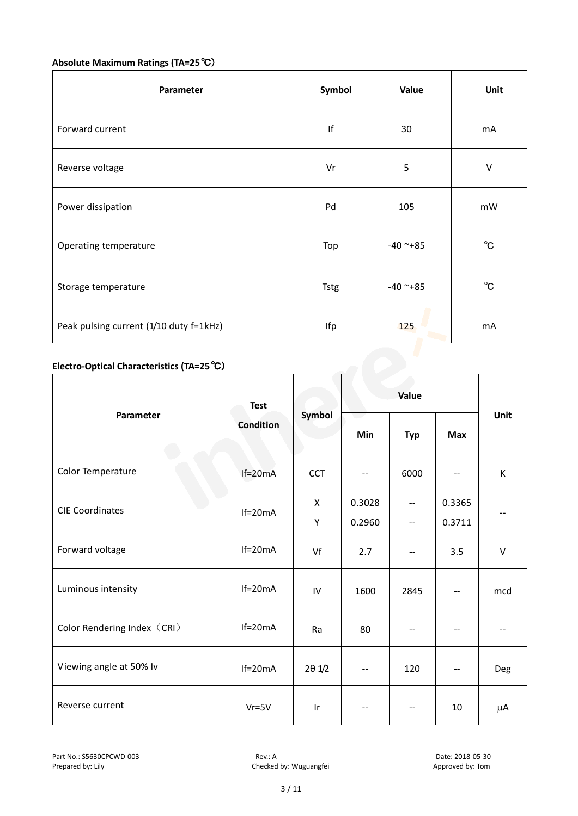# **Absolute Maximum Ratings (TA=25**℃)

| Parameter                               | Symbol      | Value      | Unit         |
|-----------------------------------------|-------------|------------|--------------|
| Forward current                         | If          | 30         | mA           |
| Reverse voltage                         | Vr          | 5          | $\vee$       |
| Power dissipation                       | Pd          | 105        | mW           |
| Operating temperature                   | Top         | $-40$ ~+85 | $^{\circ}C$  |
| Storage temperature                     | <b>Tstg</b> | $-40$ ~+85 | $^{\circ}$ C |
| Peak pulsing current (1/10 duty f=1kHz) | Ifp         | 125        | mA           |

# **Electro-Optical Characteristics (TA=25**℃)

|                             | <b>Test</b>      |                 | Value  |            |            |             |
|-----------------------------|------------------|-----------------|--------|------------|------------|-------------|
| Parameter                   | <b>Condition</b> | Symbol          | Min    | <b>Typ</b> | <b>Max</b> | <b>Unit</b> |
| Color Temperature           | $If=20mA$        | <b>CCT</b>      | --     | 6000       |            | К           |
| <b>CIE Coordinates</b>      | $If=20mA$        | X               | 0.3028 | --         | 0.3365     |             |
|                             |                  | Y               | 0.2960 | --         | 0.3711     |             |
| Forward voltage             | $If=20mA$        | Vf              | 2.7    |            | 3.5        | $\sf V$     |
| Luminous intensity          | $If=20mA$        | IV              | 1600   | 2845       |            | mcd         |
| Color Rendering Index (CRI) | $If=20mA$        | Ra              | 80     |            |            |             |
| Viewing angle at 50% lv     | $If=20mA$        | $2\theta$ $1/2$ | --     | 120        |            | Deg         |
| Reverse current             | $Vr = 5V$        | Ir              | --     |            | 10         | μA          |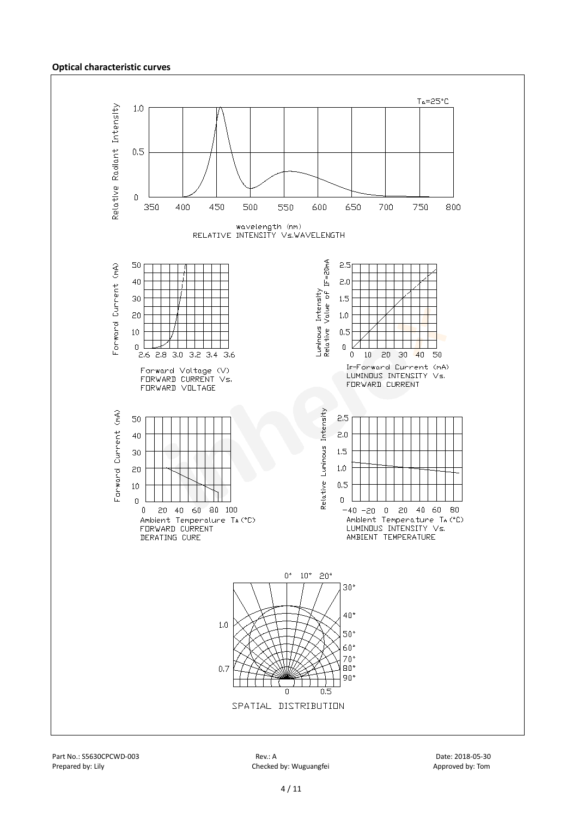#### **Optical characteristic curves**

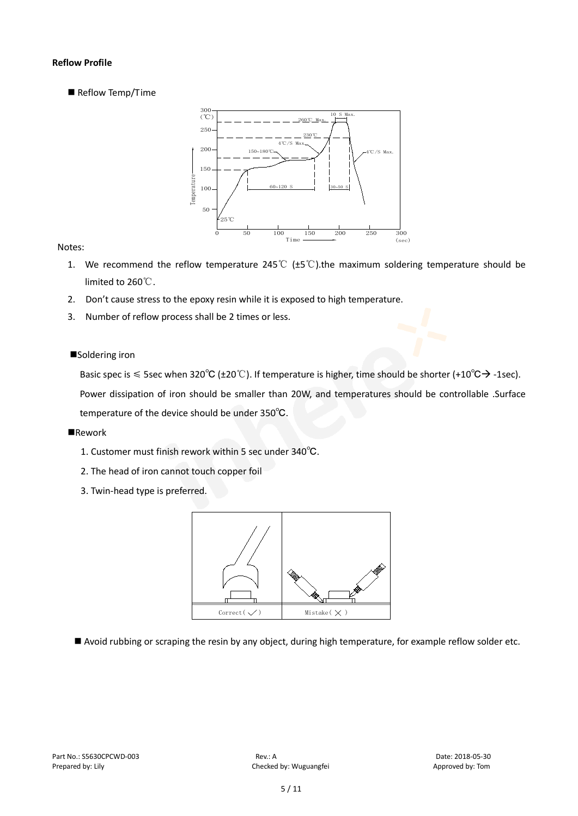#### **Reflow Profile**

Reflow Temp/Time



#### Notes:

- 1. We recommend the reflow temperature 245°C ( $\pm$ 5°C).the maximum soldering temperature should be limited to 260℃.
- 2. Don't cause stress to the epoxy resin while it is exposed to high temperature.
- 3. Number of reflow process shall be 2 times or less.

#### ■Soldering iron

Basic spec is  $\leq$  5sec when 320°C (±20°C). If temperature is higher, time should be shorter (+10°C $\rightarrow$ -1sec).

Power dissipation of iron should be smaller than 20W, and temperatures should be controllable .Surface temperature of the device should be under 350℃.

#### **Rework**

- 1. Customer must finish rework within 5 sec under 340℃.
- 2. The head of iron cannot touch copper foil
- 3. Twin-head type is preferred.



Avoid rubbing or scraping the resin by any object, during high temperature, for example reflow solder etc.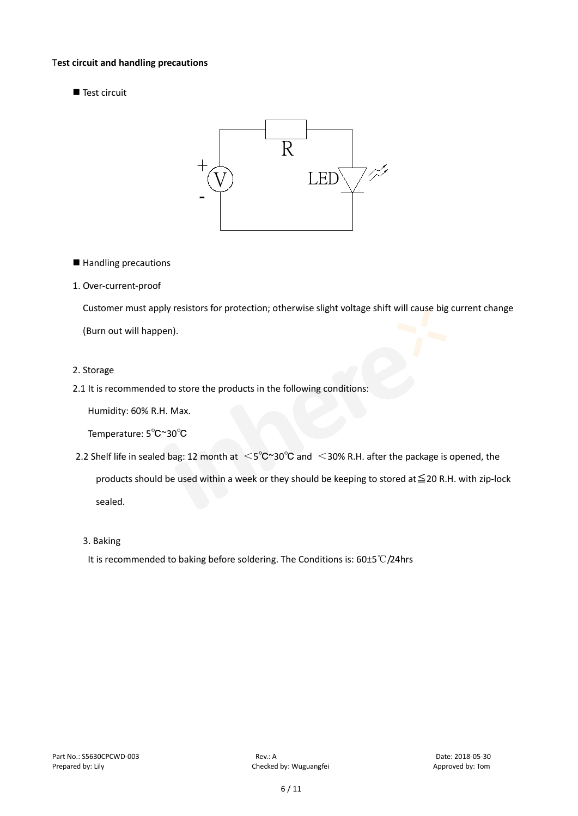#### T**est circuit and handling precautions**

■ Test circuit



■ Handling precautions

#### 1. Over-current-proof

Customer must apply resistors for protection; otherwise slight voltage shift will cause big current change (Burn out will happen).

#### 2. Storage

#### 2.1 It is recommended to store the products in the following conditions:

Humidity: 60% R.H. Max.

Temperature: 5℃~30℃

- 2.2 Shelf life in sealed bag: 12 month at <5℃~30°C and <30% R.H. after the package is opened, the products should be used within a week or they should be keeping to stored at≦20 R.H. with zip-lock sealed.
	- 3. Baking

It is recommended to baking before soldering. The Conditions is: 60±5℃/24hrs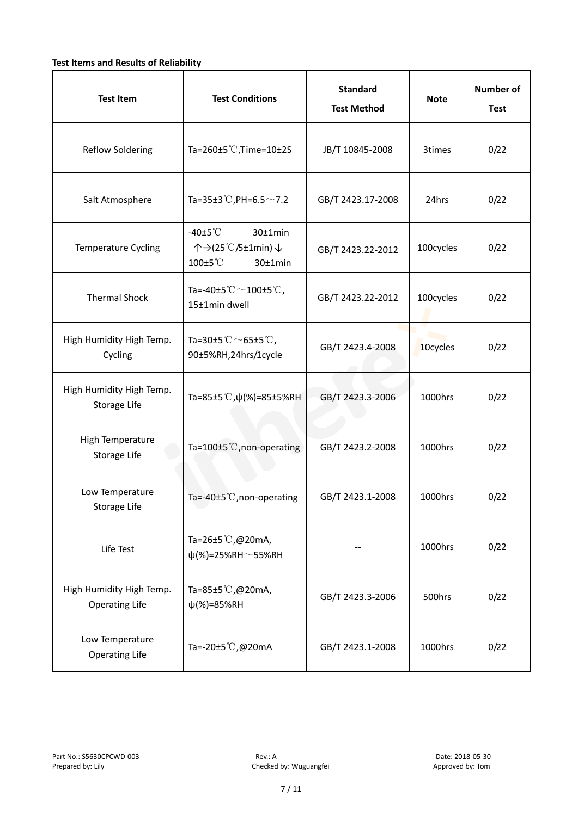#### **Test Items and Results of Reliability**

| <b>Test Item</b>                                  | <b>Test Conditions</b>                                                         | <b>Standard</b><br><b>Test Method</b> | <b>Note</b> | <b>Number of</b><br><b>Test</b> |
|---------------------------------------------------|--------------------------------------------------------------------------------|---------------------------------------|-------------|---------------------------------|
| <b>Reflow Soldering</b>                           | Ta=260±5 °C, Time=10±2S                                                        | JB/T 10845-2008                       | 3times      | 0/22                            |
| Salt Atmosphere                                   | Ta=35±3°C, PH=6.5 $\sim$ 7.2                                                   | GB/T 2423.17-2008                     | 24hrs       | 0/22                            |
| Temperature Cycling                               | -40 $±5^{\circ}$ C<br>$30±1$ min<br>个→(25℃/5±1min) ↓<br>100±5°C<br>$30±1$ min  | GB/T 2423.22-2012                     | 100cycles   | 0/22                            |
| <b>Thermal Shock</b>                              | Ta=-40±5 $\degree \text{C}$ $\sim$ 100±5 $\degree \text{C}$ ,<br>15±1min dwell | GB/T 2423.22-2012                     | 100cycles   | 0/22                            |
| High Humidity High Temp.<br>Cycling               | Ta=30±5 °C $\sim$ 65±5 °C,<br>90±5%RH,24hrs/1cycle                             | GB/T 2423.4-2008                      | 10cycles    | 0/22                            |
| High Humidity High Temp.<br>Storage Life          | Ta=85±5 °C, $\psi$ (%)=85±5%RH                                                 | GB/T 2423.3-2006                      | 1000hrs     | 0/22                            |
| High Temperature<br><b>Storage Life</b>           | Ta=100±5°C, non-operating                                                      | GB/T 2423.2-2008                      | 1000hrs     | 0/22                            |
| Low Temperature<br>Storage Life                   | Ta=-40±5 $°C$ , non-operating                                                  | GB/T 2423.1-2008                      | 1000hrs     | 0/22                            |
| Life Test                                         | Ta=26±5 °C,@20mA,<br>$\psi$ (%)=25%RH~55%RH                                    |                                       | 1000hrs     | 0/22                            |
| High Humidity High Temp.<br><b>Operating Life</b> | Ta=85±5 $\degree$ C, @20mA,<br>$\psi$ (%)=85%RH                                | GB/T 2423.3-2006                      | 500hrs      | 0/22                            |
| Low Temperature<br><b>Operating Life</b>          | Ta=-20±5 °C,@20mA                                                              | GB/T 2423.1-2008                      | 1000hrs     | 0/22                            |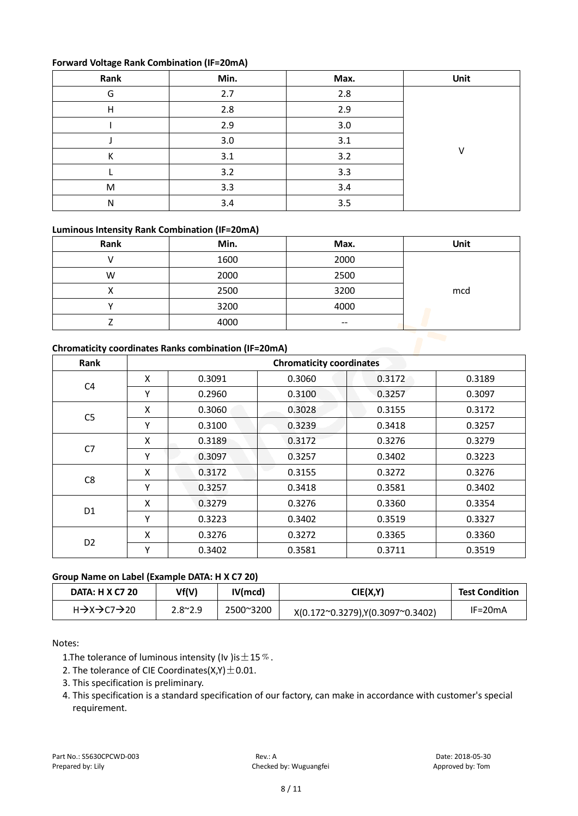#### **Forward Voltage Rank Combination (IF=20mA)**

| Rank | Min. | Max.  | Unit |
|------|------|-------|------|
| G    | 2.7  | 2.8   |      |
| н    | 2.8  | 2.9   |      |
|      | 2.9  | 3.0   |      |
|      | 3.0  | 3.1   |      |
| К    | 3.1  | 3.2   | v    |
|      | 3.2  | 3.3   |      |
| M    | 3.3  | $3.4$ |      |
| N    | 3.4  | 3.5   |      |

#### **Luminous Intensity Rank Combination (IF=20mA)**

| Rank | Min. | Max.              | Unit |
|------|------|-------------------|------|
|      | 1600 | 2000              |      |
| W    | 2000 | 2500              |      |
|      | 2500 | 3200              | mcd  |
|      | 3200 | 4000              |      |
|      | 4000 | $\hspace{0.05cm}$ |      |
|      |      |                   |      |

#### **Chromaticity coordinates Ranks combination (IF=20mA)**

| Rank           | <b>Chromaticity coordinates</b> |        |        |        |        |  |  |
|----------------|---------------------------------|--------|--------|--------|--------|--|--|
|                | Χ                               | 0.3091 | 0.3060 | 0.3172 | 0.3189 |  |  |
| C <sub>4</sub> | Υ                               | 0.2960 | 0.3100 | 0.3257 | 0.3097 |  |  |
|                | x                               | 0.3060 | 0.3028 | 0.3155 | 0.3172 |  |  |
| C <sub>5</sub> | Υ                               | 0.3100 | 0.3239 | 0.3418 | 0.3257 |  |  |
|                | Χ                               | 0.3189 | 0.3172 | 0.3276 | 0.3279 |  |  |
| C7             | Υ                               | 0.3097 | 0.3257 | 0.3402 | 0.3223 |  |  |
|                | X                               | 0.3172 | 0.3155 | 0.3272 | 0.3276 |  |  |
| C8             | Υ                               | 0.3257 | 0.3418 | 0.3581 | 0.3402 |  |  |
|                | Χ                               | 0.3279 | 0.3276 | 0.3360 | 0.3354 |  |  |
| D1             | Υ                               | 0.3223 | 0.3402 | 0.3519 | 0.3327 |  |  |
|                | x                               | 0.3276 | 0.3272 | 0.3365 | 0.3360 |  |  |
| D <sub>2</sub> | Υ                               | 0.3402 | 0.3581 | 0.3711 | 0.3519 |  |  |

#### **Group Name on Label (Example DATA: H X C7 20)**

| <b>DATA: H X C7 20</b>                          | Vf(V)           | IV(mcd)   | CIE(X,Y)                         | Test Condition |
|-------------------------------------------------|-----------------|-----------|----------------------------------|----------------|
| $H \rightarrow X \rightarrow C7 \rightarrow 20$ | $2.8^{\sim}2.9$ | 2500~3200 | X(0.172~0.3279),Y(0.3097~0.3402) | $IF = 20mA$    |

### Notes:

1. The tolerance of luminous intensity (Iv ) is  $\pm$  15  $\%$ .

2. The tolerance of CIE Coordinates( $X,Y$ )  $\pm$  0.01.

- 3. This specification is preliminary.
- 4. This specification is a standard specification of our factory, can make in accordance with customer's special requirement.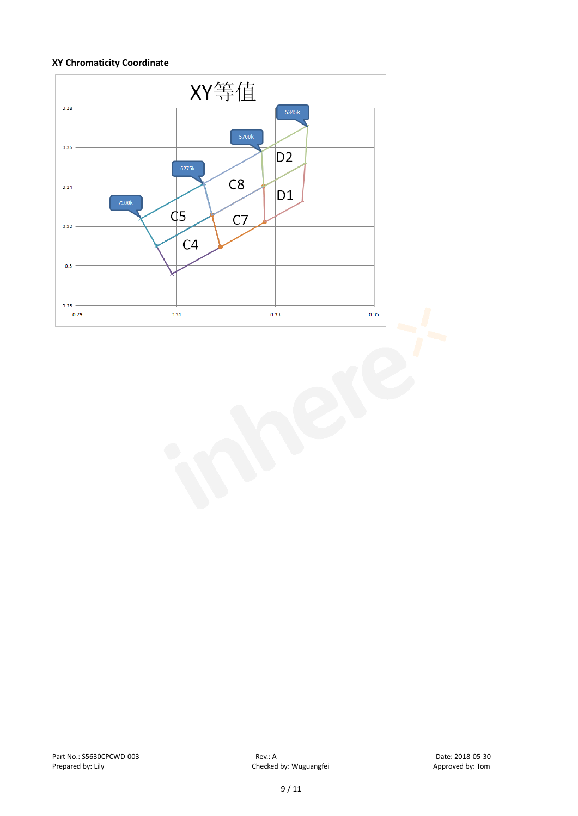## **XY Chromaticity Coordinate**

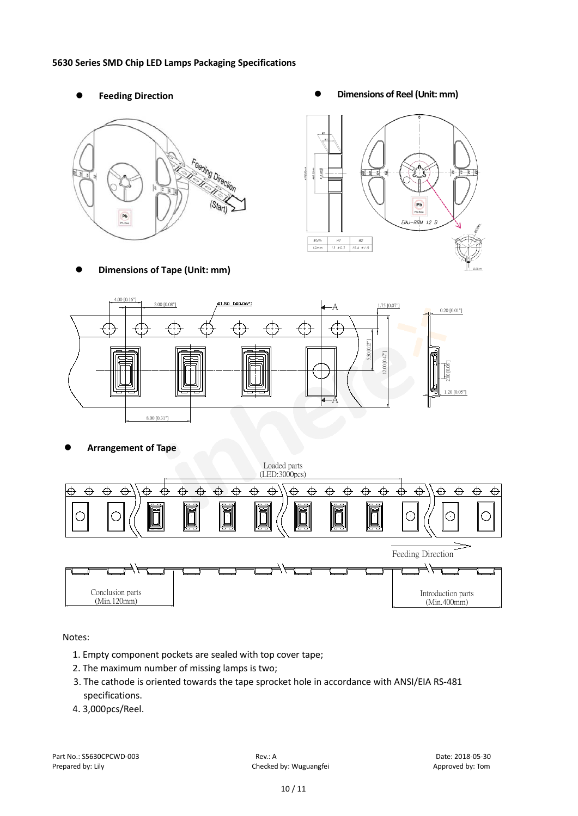#### **5630 Series SMD Chip LED Lamps Packaging Specifications**

- **Feeding Direction**
- Feeding Direction  $(Start)$ Pb
- **Dimensions of Reel (Unit: mm)**



**Dimensions of Tape (Unit: mm)**



**Arrangement of Tape**



Notes:

- 1. Empty component pockets are sealed with top cover tape;
- 2. The maximum number of missing lamps is two;
- 3. The cathode is oriented towards the tape sprocket hole in accordance with ANSI/EIA RS-481 specifications.
- 4. 3,000pcs/Reel.